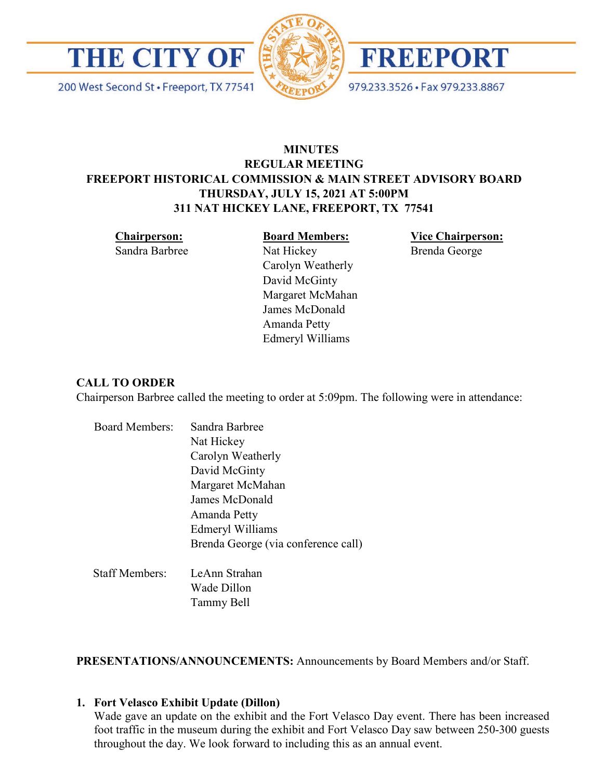

200 West Second St · Freeport, TX 77541





979.233.3526 · Fax 979.233.8867

## **MINUTES REGULAR MEETING FREEPORT HISTORICAL COMMISSION & MAIN STREET ADVISORY BOARD THURSDAY, JULY 15, 2021 AT 5:00PM 311 NAT HICKEY LANE, FREEPORT, TX 77541**

**Chairperson:**

Sandra Barbree

**Board Members:** Nat Hickey Carolyn Weatherly David McGinty Margaret McMahan James McDonald Amanda Petty

Edmeryl Williams

**Vice Chairperson:** Brenda George

## **CALL TO ORDER**

Chairperson Barbree called the meeting to order at 5:09pm. The following were in attendance:

| <b>Board Members:</b> | Sandra Barbree                      |
|-----------------------|-------------------------------------|
|                       | Nat Hickey                          |
|                       | Carolyn Weatherly                   |
|                       | David McGinty                       |
|                       | Margaret McMahan                    |
|                       | James McDonald                      |
|                       | Amanda Petty                        |
|                       | Edmeryl Williams                    |
|                       | Brenda George (via conference call) |
| <b>Staff Members:</b> | LeAnn Strahan                       |
|                       | Wade Dillon                         |

Tammy Bell

**PRESENTATIONS/ANNOUNCEMENTS:** Announcements by Board Members and/or Staff.

#### **1. Fort Velasco Exhibit Update (Dillon)**

Wade gave an update on the exhibit and the Fort Velasco Day event. There has been increased foot traffic in the museum during the exhibit and Fort Velasco Day saw between 250-300 guests throughout the day. We look forward to including this as an annual event.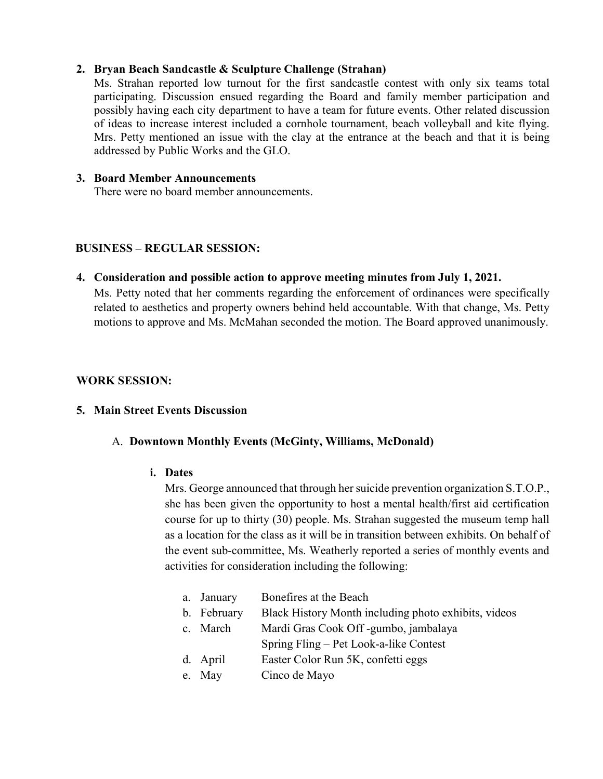## **2. Bryan Beach Sandcastle & Sculpture Challenge (Strahan)**

Ms. Strahan reported low turnout for the first sandcastle contest with only six teams total participating. Discussion ensued regarding the Board and family member participation and possibly having each city department to have a team for future events. Other related discussion of ideas to increase interest included a cornhole tournament, beach volleyball and kite flying. Mrs. Petty mentioned an issue with the clay at the entrance at the beach and that it is being addressed by Public Works and the GLO.

## **3. Board Member Announcements**

There were no board member announcements.

## **BUSINESS – REGULAR SESSION:**

**4. Consideration and possible action to approve meeting minutes from July 1, 2021.**  Ms. Petty noted that her comments regarding the enforcement of ordinances were specifically related to aesthetics and property owners behind held accountable. With that change, Ms. Petty motions to approve and Ms. McMahan seconded the motion. The Board approved unanimously.

## **WORK SESSION:**

#### **5. Main Street Events Discussion**

## A. **Downtown Monthly Events (McGinty, Williams, McDonald)**

#### **i. Dates**

Mrs. George announced that through her suicide prevention organization S.T.O.P., she has been given the opportunity to host a mental health/first aid certification course for up to thirty (30) people. Ms. Strahan suggested the museum temp hall as a location for the class as it will be in transition between exhibits. On behalf of the event sub-committee, Ms. Weatherly reported a series of monthly events and activities for consideration including the following:

| a. January  | Bonefires at the Beach                               |
|-------------|------------------------------------------------------|
| b. February | Black History Month including photo exhibits, videos |
| c. March    | Mardi Gras Cook Off-gumbo, jambalaya                 |
|             | Spring Fling – Pet Look-a-like Contest               |
| d. April    | Easter Color Run 5K, confetti eggs                   |
| e. May      | Cinco de Mayo                                        |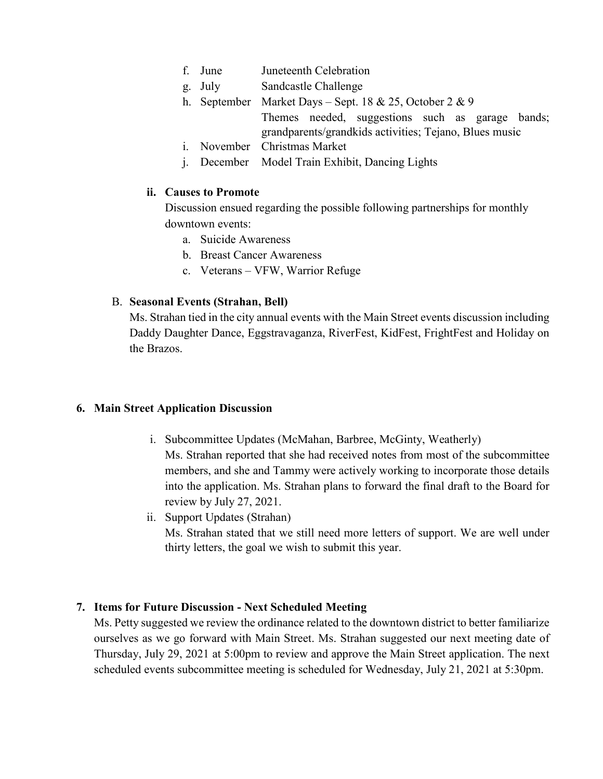| f. June | Juneteenth Celebration |
|---------|------------------------|
|         |                        |

- g. July Sandcastle Challenge
- h. September Market Days Sept. 18 & 25, October 2 & 9 Themes needed, suggestions such as garage bands; grandparents/grandkids activities; Tejano, Blues music
- i. November Christmas Market
- j. December Model Train Exhibit, Dancing Lights

## **ii. Causes to Promote**

Discussion ensued regarding the possible following partnerships for monthly downtown events:

- a. Suicide Awareness
- b. Breast Cancer Awareness
- c. Veterans VFW, Warrior Refuge

## B. **Seasonal Events (Strahan, Bell)**

Ms. Strahan tied in the city annual events with the Main Street events discussion including Daddy Daughter Dance, Eggstravaganza, RiverFest, KidFest, FrightFest and Holiday on the Brazos.

## **6. Main Street Application Discussion**

- i. Subcommittee Updates (McMahan, Barbree, McGinty, Weatherly) Ms. Strahan reported that she had received notes from most of the subcommittee members, and she and Tammy were actively working to incorporate those details into the application. Ms. Strahan plans to forward the final draft to the Board for review by July 27, 2021.
- ii. Support Updates (Strahan) Ms. Strahan stated that we still need more letters of support. We are well under thirty letters, the goal we wish to submit this year.

## **7. Items for Future Discussion - Next Scheduled Meeting**

Ms. Petty suggested we review the ordinance related to the downtown district to better familiarize ourselves as we go forward with Main Street. Ms. Strahan suggested our next meeting date of Thursday, July 29, 2021 at 5:00pm to review and approve the Main Street application. The next scheduled events subcommittee meeting is scheduled for Wednesday, July 21, 2021 at 5:30pm.